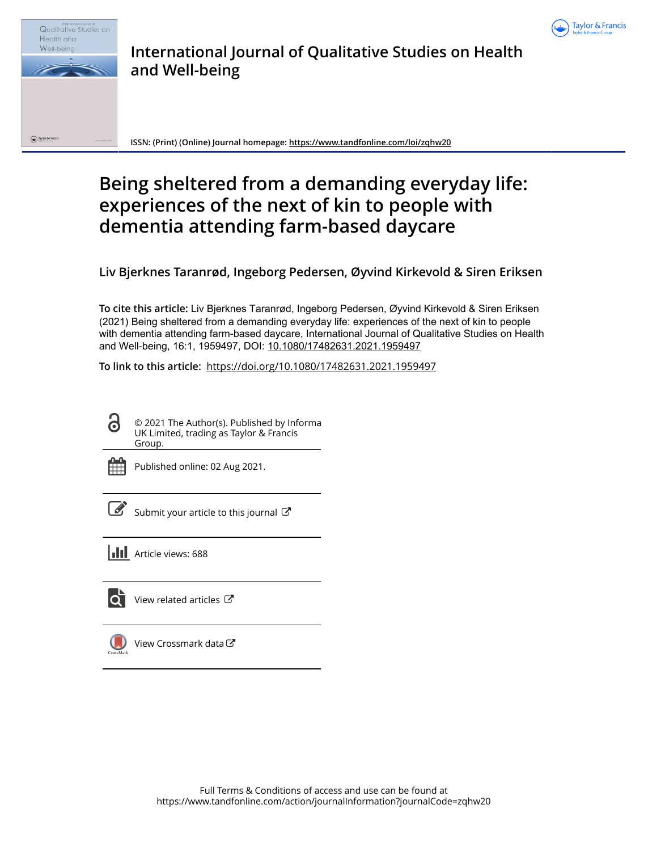



# **International Journal of Qualitative Studies on Health and Well-being**

**ISSN: (Print) (Online) Journal homepage:<https://www.tandfonline.com/loi/zqhw20>**

# **Being sheltered from a demanding everyday life: experiences of the next of kin to people with dementia attending farm-based daycare**

**Liv Bjerknes Taranrød, Ingeborg Pedersen, Øyvind Kirkevold & Siren Eriksen**

**To cite this article:** Liv Bjerknes Taranrød, Ingeborg Pedersen, Øyvind Kirkevold & Siren Eriksen (2021) Being sheltered from a demanding everyday life: experiences of the next of kin to people with dementia attending farm-based daycare, International Journal of Qualitative Studies on Health and Well-being, 16:1, 1959497, DOI: [10.1080/17482631.2021.1959497](https://www.tandfonline.com/action/showCitFormats?doi=10.1080/17482631.2021.1959497)

**To link to this article:** <https://doi.org/10.1080/17482631.2021.1959497>



© 2021 The Author(s). Published by Informa UK Limited, trading as Taylor & Francis Group.



Published online: 02 Aug 2021.

[Submit your article to this journal](https://www.tandfonline.com/action/authorSubmission?journalCode=zqhw20&show=instructions)  $\mathbb{Z}$ 





[View related articles](https://www.tandfonline.com/doi/mlt/10.1080/17482631.2021.1959497) C



[View Crossmark data](http://crossmark.crossref.org/dialog/?doi=10.1080/17482631.2021.1959497&domain=pdf&date_stamp=2021-08-02)  $\mathbb{Z}$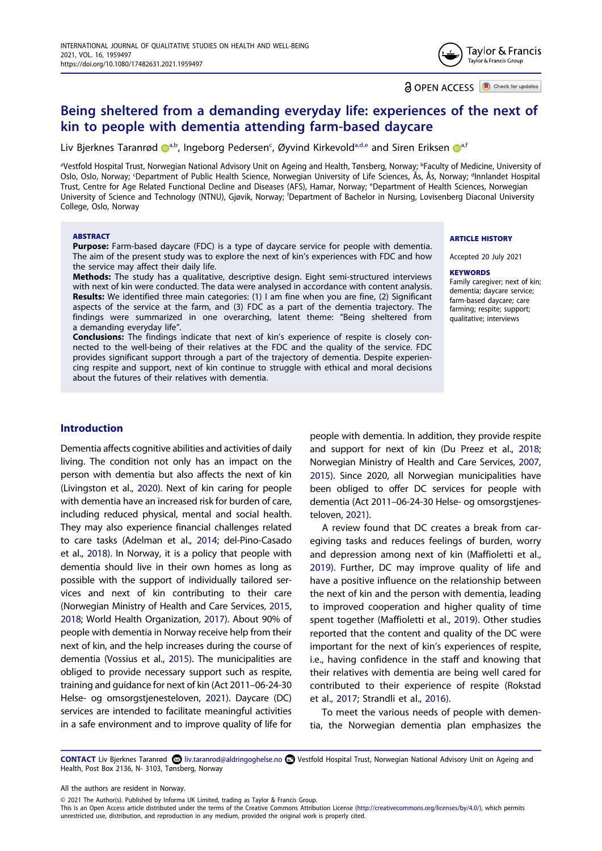

**a** OPEN ACCESS **D** Check for updates

# **Being sheltered from a demanding everyday life: experiences of the next of kin to people with dementia attending farm-based daycare**

Liv Bjerknes Taranrø[d](http://orcid.org/0000-0001-6044-2052) @[a,b,](#page-1-0) Ingeborg Pedersen<sup>c</sup>, Øyvind Kirkevold<sup>[a](#page-1-0)[,d](#page-1-1)[,e](#page-1-2)</sup> and Siren Eriksen @a[,f](#page-1-3)

<span id="page-1-3"></span><span id="page-1-2"></span><span id="page-1-1"></span><span id="page-1-0"></span>ªVestfold Hospital Trust, Norwegian National Advisory Unit on Ageing and Health, Tønsberg, Norway; <sup>b</sup>Faculty of Medicine, University of Oslo, Oslo, Norway; <sup>c</sup>Department of Public Health Science, Norwegian University of Life Sciences, Ås, Ås, Norway; <sup>d</sup>Innlandet Hospital Trust, Centre for Age Related Functional Decline and Diseases (AFS), Hamar, Norway; e Department of Health Sciences, Norwegian University of Science and Technology (NTNU), Gjøvik, Norway; f Department of Bachelor in Nursing, Lovisenberg Diaconal University College, Oslo, Norway

#### **ABSTRACT**

**Purpose:** Farm-based daycare (FDC) is a type of daycare service for people with dementia. The aim of the present study was to explore the next of kin's experiences with FDC and how the service may affect their daily life.

**Methods:** The study has a qualitative, descriptive design. Eight semi-structured interviews with next of kin were conducted. The data were analysed in accordance with content analysis. **Results:** We identified three main categories: (1) I am fine when you are fine, (2) Significant aspects of the service at the farm, and (3) FDC as a part of the dementia trajectory. The findings were summarized in one overarching, latent theme: "Being sheltered from a demanding everyday life".

**Conclusions:** The findings indicate that next of kin's experience of respite is closely connected to the well-being of their relatives at the FDC and the quality of the service. FDC provides significant support through a part of the trajectory of dementia. Despite experiencing respite and support, next of kin continue to struggle with ethical and moral decisions about the futures of their relatives with dementia.

#### **ARTICLE HISTORY**

Accepted 20 July 2021

#### **KEYWORDS**

Family caregiver; next of kin; dementia; daycare service; farm-based daycare; care farming: respite: support: qualitative; interviews

# **Introduction**

<span id="page-1-11"></span><span id="page-1-8"></span><span id="page-1-5"></span><span id="page-1-4"></span>Dementia affects cognitive abilities and activities of daily living. The condition not only has an impact on the person with dementia but also affects the next of kin (Livingston et al., [2020\)](#page-9-0). Next of kin caring for people with dementia have an increased risk for burden of care, including reduced physical, mental and social health. They may also experience financial challenges related to care tasks (Adelman et al., [2014;](#page-9-1) del-Pino-Casado et al., [2018](#page-9-2)). In Norway, it is a policy that people with dementia should live in their own homes as long as possible with the support of individually tailored services and next of kin contributing to their care (Norwegian Ministry of Health and Care Services, [2015,](#page-10-0) [2018](#page-10-1); World Health Organization, [2017](#page-10-2)). About 90% of people with dementia in Norway receive help from their next of kin, and the help increases during the course of dementia (Vossius et al., [2015\)](#page-10-3). The municipalities are obliged to provide necessary support such as respite, training and guidance for next of kin (Act 2011–06-24-30 Helse- og omsorgstjenesteloven, [2021](#page-9-3)). Daycare (DC) services are intended to facilitate meaningful activities in a safe environment and to improve quality of life for

<span id="page-1-10"></span><span id="page-1-6"></span>people with dementia. In addition, they provide respite and support for next of kin (Du Preez et al., [2018](#page-9-4); Norwegian Ministry of Health and Care Services, [2007](#page-10-4), [2015\)](#page-10-0). Since 2020, all Norwegian municipalities have been obliged to offer DC services for people with dementia (Act 2011–06-24-30 Helse- og omsorgstjenesteloven, [2021](#page-9-3)).

<span id="page-1-9"></span><span id="page-1-7"></span>A review found that DC creates a break from caregiving tasks and reduces feelings of burden, worry and depression among next of kin (Maffioletti et al., [2019](#page-10-5)). Further, DC may improve quality of life and have a positive influence on the relationship between the next of kin and the person with dementia, leading to improved cooperation and higher quality of time spent together (Maffioletti et al., [2019\)](#page-10-5). Other studies reported that the content and quality of the DC were important for the next of kin's experiences of respite, i.e., having confidence in the staff and knowing that their relatives with dementia are being well cared for contributed to their experience of respite (Rokstad et al., [2017](#page-10-6); Strandli et al., [2016](#page-10-7)).

<span id="page-1-12"></span>To meet the various needs of people with dementia, the Norwegian dementia plan emphasizes the

<span id="page-1-14"></span><span id="page-1-13"></span>**CONTACT** Liv Bjerknes Taranrød **@** liv.taranrod@aldringoghelse.no **D** Vestfold Hospital Trust, Norwegian National Advisory Unit on Ageing and Health, Post Box 2136, N- 3103, Tønsberg, Norway

All the authors are resident in Norway.

© 2021 The Author(s). Published by Informa UK Limited, trading as Taylor & Francis Group.

This is an Open Access article distributed under the terms of the Creative Commons Attribution License (http://creativecommons.org/licenses/by/4.0/), which permits unrestricted use, distribution, and reproduction in any medium, provided the original work is properly cited.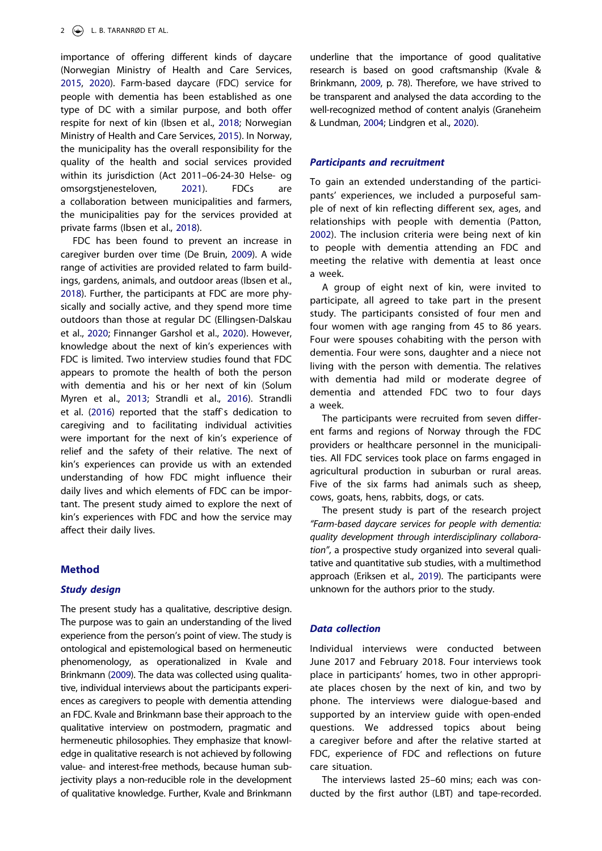<span id="page-2-6"></span>importance of offering different kinds of daycare (Norwegian Ministry of Health and Care Services, [2015,](#page-10-0) [2020\)](#page-10-8). Farm-based daycare (FDC) service for people with dementia has been established as one type of DC with a similar purpose, and both offer respite for next of kin (Ibsen et al., [2018;](#page-9-5) Norwegian Ministry of Health and Care Services, [2015](#page-10-0)). In Norway, the municipality has the overall responsibility for the quality of the health and social services provided within its jurisdiction (Act 2011–06-24-30 Helse- og omsorgstjenesteloven, [2021](#page-9-3)). FDCs are a collaboration between municipalities and farmers, the municipalities pay for the services provided at private farms (Ibsen et al., [2018\)](#page-9-5).

<span id="page-2-8"></span><span id="page-2-4"></span><span id="page-2-1"></span><span id="page-2-0"></span>FDC has been found to prevent an increase in caregiver burden over time (De Bruin, [2009](#page-9-6)). A wide range of activities are provided related to farm buildings, gardens, animals, and outdoor areas (Ibsen et al., [2018\)](#page-9-5). Further, the participants at FDC are more physically and socially active, and they spend more time outdoors than those at regular DC (Ellingsen-Dalskau et al., [2020;](#page-9-7) Finnanger Garshol et al., [2020\)](#page-9-8). However, knowledge about the next of kin's experiences with FDC is limited. Two interview studies found that FDC appears to promote the health of both the person with dementia and his or her next of kin (Solum Myren et al., [2013;](#page-10-9) Strandli et al., [2016](#page-10-7)). Strandli et al. [\(2016\)](#page-10-7) reported that the staff's dedication to caregiving and to facilitating individual activities were important for the next of kin's experience of relief and the safety of their relative. The next of kin's experiences can provide us with an extended understanding of how FDC might influence their daily lives and which elements of FDC can be important. The present study aimed to explore the next of kin's experiences with FDC and how the service may affect their daily lives.

# **Method**

# *Study design*

The present study has a qualitative, descriptive design. The purpose was to gain an understanding of the lived experience from the person's point of view. The study is ontological and epistemological based on hermeneutic phenomenology, as operationalized in Kvale and Brinkmann ([2009](#page-9-9)). The data was collected using qualitative, individual interviews about the participants experiences as caregivers to people with dementia attending an FDC. Kvale and Brinkmann base their approach to the qualitative interview on postmodern, pragmatic and hermeneutic philosophies. They emphasize that knowledge in qualitative research is not achieved by following value- and interest-free methods, because human subjectivity plays a non-reducible role in the development of qualitative knowledge. Further, Kvale and Brinkmann

<span id="page-2-5"></span>underline that the importance of good qualitative research is based on good craftsmanship (Kvale & Brinkmann, [2009](#page-9-9), p. 78). Therefore, we have strived to be transparent and analysed the data according to the well-recognized method of content analyis (Graneheim & Lundman, [2004](#page-9-10); Lindgren et al., [2020\)](#page-9-11).

# <span id="page-2-3"></span>*Participants and recruitment*

<span id="page-2-7"></span>To gain an extended understanding of the participants' experiences, we included a purposeful sample of next of kin reflecting different sex, ages, and relationships with people with dementia (Patton, [2002\)](#page-10-10). The inclusion criteria were being next of kin to people with dementia attending an FDC and meeting the relative with dementia at least once a week.

A group of eight next of kin, were invited to participate, all agreed to take part in the present study. The participants consisted of four men and four women with age ranging from 45 to 86 years. Four were spouses cohabiting with the person with dementia. Four were sons, daughter and a niece not living with the person with dementia. The relatives with dementia had mild or moderate degree of dementia and attended FDC two to four days a week.

The participants were recruited from seven different farms and regions of Norway through the FDC providers or healthcare personnel in the municipalities. All FDC services took place on farms engaged in agricultural production in suburban or rural areas. Five of the six farms had animals such as sheep, cows, goats, hens, rabbits, dogs, or cats.

The present study is part of the research project *"Farm-based daycare services for people with dementia: quality development through interdisciplinary collaboration"*, a prospective study organized into several qualitative and quantitative sub studies, with a multimethod approach (Eriksen et al., [2019\)](#page-9-12). The participants were unknown for the authors prior to the study.

# <span id="page-2-2"></span>*Data collection*

Individual interviews were conducted between June 2017 and February 2018. Four interviews took place in participants' homes, two in other appropriate places chosen by the next of kin, and two by phone. The interviews were dialogue-based and supported by an interview guide with open-ended questions. We addressed topics about being a caregiver before and after the relative started at FDC, experience of FDC and reflections on future care situation.

The interviews lasted 25–60 mins; each was conducted by the first author (LBT) and tape-recorded.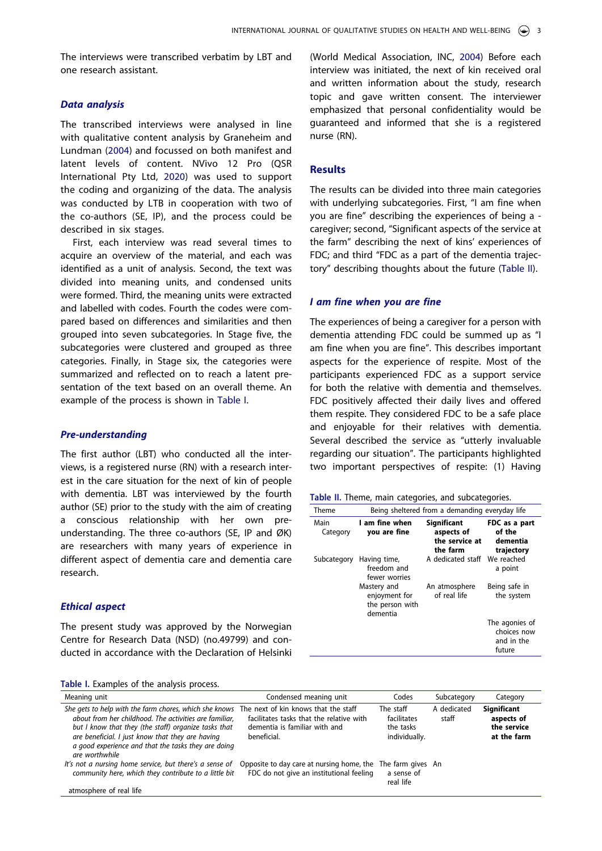The interviews were transcribed verbatim by LBT and one research assistant.

# *Data analysis*

<span id="page-3-2"></span>The transcribed interviews were analysed in line with qualitative content analysis by Graneheim and Lundman ([2004\)](#page-9-10) and focussed on both manifest and latent levels of content. NVivo 12 Pro (QSR International Pty Ltd, [2020](#page-10-11)) was used to support the coding and organizing of the data. The analysis was conducted by LTB in cooperation with two of the co-authors (SE, IP), and the process could be described in six stages.

First, each interview was read several times to acquire an overview of the material, and each was identified as a unit of analysis. Second, the text was divided into meaning units, and condensed units were formed. Third, the meaning units were extracted and labelled with codes. Fourth the codes were compared based on differences and similarities and then grouped into seven subcategories. In Stage five, the subcategories were clustered and grouped as three categories. Finally, in Stage six, the categories were summarized and reflected on to reach a latent presentation of the text based on an overall theme. An example of the process is shown in [Table I.](#page-3-0)

#### *Pre-understanding*

The first author (LBT) who conducted all the interviews, is a registered nurse (RN) with a research interest in the care situation for the next of kin of people with dementia. LBT was interviewed by the fourth author (SE) prior to the study with the aim of creating a conscious relationship with her own preunderstanding. The three co-authors (SE, IP and ØK) are researchers with many years of experience in different aspect of dementia care and dementia care research.

#### *Ethical aspect*

The present study was approved by the Norwegian Centre for Research Data (NSD) (no.49799) and conducted in accordance with the Declaration of Helsinki

<span id="page-3-3"></span>(World Medical Association, INC, [2004](#page-10-12)) Before each interview was initiated, the next of kin received oral and written information about the study, research topic and gave written consent. The interviewer emphasized that personal confidentiality would be guaranteed and informed that she is a registered nurse (RN).

# **Results**

The results can be divided into three main categories with underlying subcategories. First, "I am fine when you are fine" describing the experiences of being a caregiver; second, "Significant aspects of the service at the farm" describing the next of kins' experiences of FDC; and third "FDC as a part of the dementia trajectory" describing thoughts about the future ([Table II\)](#page-3-1).

#### *I am fine when you are fine*

The experiences of being a caregiver for a person with dementia attending FDC could be summed up as "I am fine when you are fine". This describes important aspects for the experience of respite. Most of the participants experienced FDC as a support service for both the relative with dementia and themselves. FDC positively affected their daily lives and offered them respite. They considered FDC to be a safe place and enjoyable for their relatives with dementia. Several described the service as "utterly invaluable regarding our situation". The participants highlighted two important perspectives of respite: (1) Having

<span id="page-3-1"></span>**Table II.** Theme, main categories, and subcategories.

| Theme            | Being sheltered from a demanding everyday life              |                                                         |                                                       |  |  |
|------------------|-------------------------------------------------------------|---------------------------------------------------------|-------------------------------------------------------|--|--|
| Main<br>Category | I am fine when<br>you are fine                              | Significant<br>aspects of<br>the service at<br>the farm | FDC as a part<br>of the<br>dementia<br>trajectory     |  |  |
| Subcategory      | Having time,<br>freedom and<br>fewer worries                | A dedicated staff                                       | We reached<br>a point                                 |  |  |
|                  | Mastery and<br>enjoyment for<br>the person with<br>dementia | An atmosphere<br>of real life                           | Being safe in<br>the system                           |  |  |
|                  |                                                             |                                                         | The agonies of<br>choices now<br>and in the<br>future |  |  |

<span id="page-3-0"></span>

|  | Table I. Examples of the analysis process. |  |  |  |
|--|--------------------------------------------|--|--|--|
|--|--------------------------------------------|--|--|--|

| rapic is exampled of the analysis process.                                                                                                                                                                                                                                                                                                 |                                                                                          |                                                        |                      |                                                                |  |  |  |
|--------------------------------------------------------------------------------------------------------------------------------------------------------------------------------------------------------------------------------------------------------------------------------------------------------------------------------------------|------------------------------------------------------------------------------------------|--------------------------------------------------------|----------------------|----------------------------------------------------------------|--|--|--|
| Meaning unit                                                                                                                                                                                                                                                                                                                               | Condensed meaning unit                                                                   | Codes                                                  | Subcategory          | Category                                                       |  |  |  |
| She gets to help with the farm chores, which she knows The next of kin knows that the staff<br>about from her childhood. The activities are familiar,<br>but I know that they (the staff) organize tasks that<br>are beneficial. I just know that they are having<br>a good experience and that the tasks they are doing<br>are worthwhile | facilitates tasks that the relative with<br>dementia is familiar with and<br>beneficial. | The staff<br>facilitates<br>the tasks<br>individually. | A dedicated<br>staff | <b>Significant</b><br>aspects of<br>the service<br>at the farm |  |  |  |
| It's not a nursing home service, but there's a sense of<br>community here, which they contribute to a little bit<br>atmosphere of real life                                                                                                                                                                                                | Opposite to day care at nursing home, the<br>FDC do not give an institutional feeling    | The farm gives An<br>a sense of<br>real life           |                      |                                                                |  |  |  |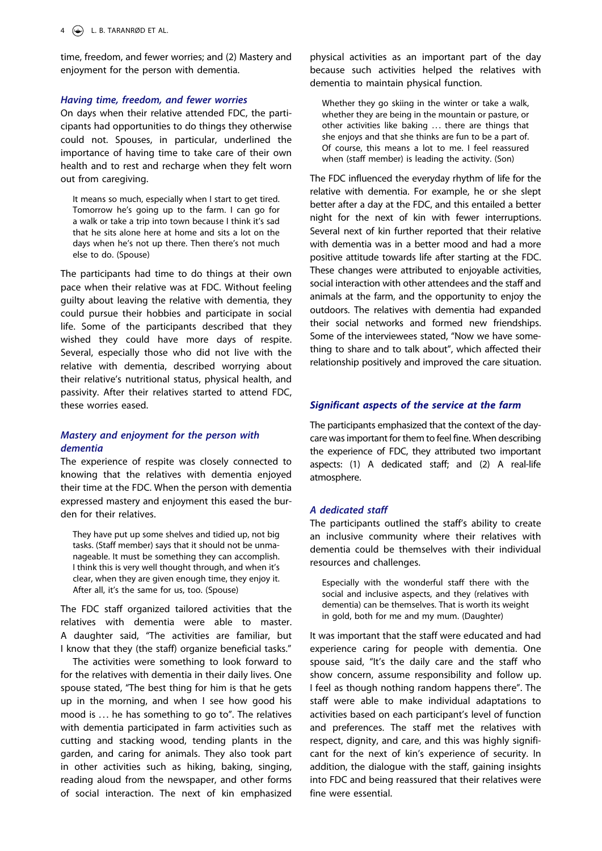time, freedom, and fewer worries; and (2) Mastery and enjoyment for the person with dementia.

#### *Having time, freedom, and fewer worries*

On days when their relative attended FDC, the participants had opportunities to do things they otherwise could not. Spouses, in particular, underlined the importance of having time to take care of their own health and to rest and recharge when they felt worn out from caregiving.

It means so much, especially when I start to get tired. Tomorrow he's going up to the farm. I can go for a walk or take a trip into town because I think it's sad that he sits alone here at home and sits a lot on the days when he's not up there. Then there's not much else to do. (Spouse)

The participants had time to do things at their own pace when their relative was at FDC. Without feeling guilty about leaving the relative with dementia, they could pursue their hobbies and participate in social life. Some of the participants described that they wished they could have more days of respite. Several, especially those who did not live with the relative with dementia, described worrying about their relative's nutritional status, physical health, and passivity. After their relatives started to attend FDC, these worries eased.

# *Mastery and enjoyment for the person with dementia*

The experience of respite was closely connected to knowing that the relatives with dementia enjoyed their time at the FDC. When the person with dementia expressed mastery and enjoyment this eased the burden for their relatives.

They have put up some shelves and tidied up, not big tasks. (Staff member) says that it should not be unmanageable. It must be something they can accomplish. I think this is very well thought through, and when it's clear, when they are given enough time, they enjoy it. After all, it's the same for us, too. (Spouse)

The FDC staff organized tailored activities that the relatives with dementia were able to master. A daughter said, "The activities are familiar, but I know that they (the staff) organize beneficial tasks."

The activities were something to look forward to for the relatives with dementia in their daily lives. One spouse stated, "The best thing for him is that he gets up in the morning, and when I see how good his mood is ... he has something to go to". The relatives with dementia participated in farm activities such as cutting and stacking wood, tending plants in the garden, and caring for animals. They also took part in other activities such as hiking, baking, singing, reading aloud from the newspaper, and other forms of social interaction. The next of kin emphasized

physical activities as an important part of the day because such activities helped the relatives with dementia to maintain physical function.

Whether they go skiing in the winter or take a walk, whether they are being in the mountain or pasture, or other activities like baking ... there are things that she enjoys and that she thinks are fun to be a part of. Of course, this means a lot to me. I feel reassured when (staff member) is leading the activity. (Son)

The FDC influenced the everyday rhythm of life for the relative with dementia. For example, he or she slept better after a day at the FDC, and this entailed a better night for the next of kin with fewer interruptions. Several next of kin further reported that their relative with dementia was in a better mood and had a more positive attitude towards life after starting at the FDC. These changes were attributed to enjoyable activities, social interaction with other attendees and the staff and animals at the farm, and the opportunity to enjoy the outdoors. The relatives with dementia had expanded their social networks and formed new friendships. Some of the interviewees stated, "Now we have something to share and to talk about", which affected their relationship positively and improved the care situation.

# *Significant aspects of the service at the farm*

The participants emphasized that the context of the daycare was important for them to feel fine. When describing the experience of FDC, they attributed two important aspects: (1) A dedicated staff; and (2) A real-life atmosphere.

#### *A dedicated staff*

The participants outlined the staff's ability to create an inclusive community where their relatives with dementia could be themselves with their individual resources and challenges.

Especially with the wonderful staff there with the social and inclusive aspects, and they (relatives with dementia) can be themselves. That is worth its weight in gold, both for me and my mum. (Daughter)

It was important that the staff were educated and had experience caring for people with dementia. One spouse said, "It's the daily care and the staff who show concern, assume responsibility and follow up. I feel as though nothing random happens there". The staff were able to make individual adaptations to activities based on each participant's level of function and preferences. The staff met the relatives with respect, dignity, and care, and this was highly significant for the next of kin's experience of security. In addition, the dialogue with the staff, gaining insights into FDC and being reassured that their relatives were fine were essential.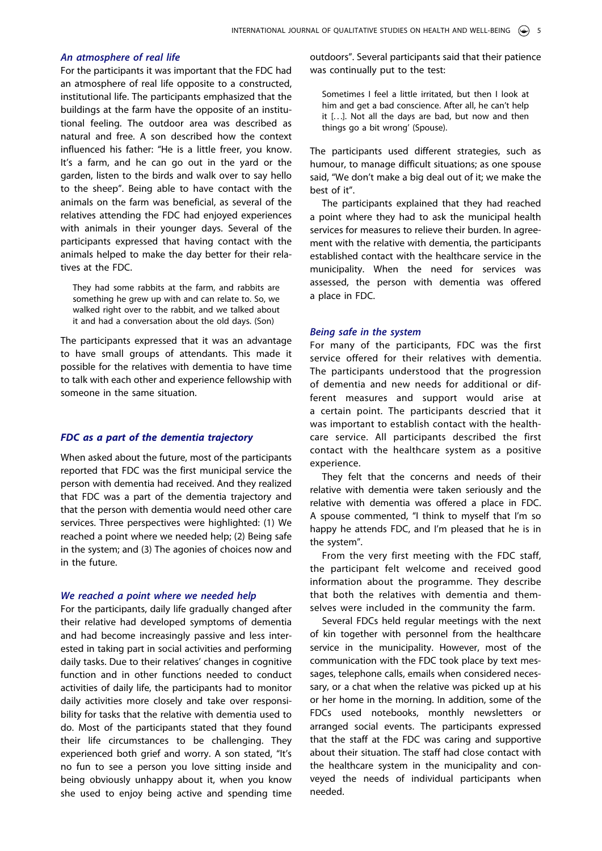# *An atmosphere of real life*

For the participants it was important that the FDC had an atmosphere of real life opposite to a constructed, institutional life. The participants emphasized that the buildings at the farm have the opposite of an institutional feeling. The outdoor area was described as natural and free. A son described how the context influenced his father: "He is a little freer, you know. It's a farm, and he can go out in the yard or the garden, listen to the birds and walk over to say hello to the sheep". Being able to have contact with the animals on the farm was beneficial, as several of the relatives attending the FDC had enjoyed experiences with animals in their younger days. Several of the participants expressed that having contact with the animals helped to make the day better for their relatives at the FDC.

They had some rabbits at the farm, and rabbits are something he grew up with and can relate to. So, we walked right over to the rabbit, and we talked about it and had a conversation about the old days. (Son)

The participants expressed that it was an advantage to have small groups of attendants. This made it possible for the relatives with dementia to have time to talk with each other and experience fellowship with someone in the same situation.

# *FDC as a part of the dementia trajectory*

When asked about the future, most of the participants reported that FDC was the first municipal service the person with dementia had received. And they realized that FDC was a part of the dementia trajectory and that the person with dementia would need other care services. Three perspectives were highlighted: (1) We reached a point where we needed help; (2) Being safe in the system; and (3) The agonies of choices now and in the future.

#### *We reached a point where we needed help*

For the participants, daily life gradually changed after their relative had developed symptoms of dementia and had become increasingly passive and less interested in taking part in social activities and performing daily tasks. Due to their relatives' changes in cognitive function and in other functions needed to conduct activities of daily life, the participants had to monitor daily activities more closely and take over responsibility for tasks that the relative with dementia used to do. Most of the participants stated that they found their life circumstances to be challenging. They experienced both grief and worry. A son stated, "It's no fun to see a person you love sitting inside and being obviously unhappy about it, when you know she used to enjoy being active and spending time

outdoors". Several participants said that their patience was continually put to the test:

Sometimes I feel a little irritated, but then I look at him and get a bad conscience. After all, he can't help it [...]. Not all the days are bad, but now and then things go a bit wrong' (Spouse).

The participants used different strategies, such as humour, to manage difficult situations; as one spouse said, "We don't make a big deal out of it; we make the best of it".

The participants explained that they had reached a point where they had to ask the municipal health services for measures to relieve their burden. In agreement with the relative with dementia, the participants established contact with the healthcare service in the municipality. When the need for services was assessed, the person with dementia was offered a place in FDC.

#### *Being safe in the system*

For many of the participants, FDC was the first service offered for their relatives with dementia. The participants understood that the progression of dementia and new needs for additional or different measures and support would arise at a certain point. The participants descried that it was important to establish contact with the healthcare service. All participants described the first contact with the healthcare system as a positive experience.

They felt that the concerns and needs of their relative with dementia were taken seriously and the relative with dementia was offered a place in FDC. A spouse commented, "I think to myself that I'm so happy he attends FDC, and I'm pleased that he is in the system".

From the very first meeting with the FDC staff, the participant felt welcome and received good information about the programme. They describe that both the relatives with dementia and themselves were included in the community the farm.

Several FDCs held regular meetings with the next of kin together with personnel from the healthcare service in the municipality. However, most of the communication with the FDC took place by text messages, telephone calls, emails when considered necessary, or a chat when the relative was picked up at his or her home in the morning. In addition, some of the FDCs used notebooks, monthly newsletters or arranged social events. The participants expressed that the staff at the FDC was caring and supportive about their situation. The staff had close contact with the healthcare system in the municipality and conveyed the needs of individual participants when needed.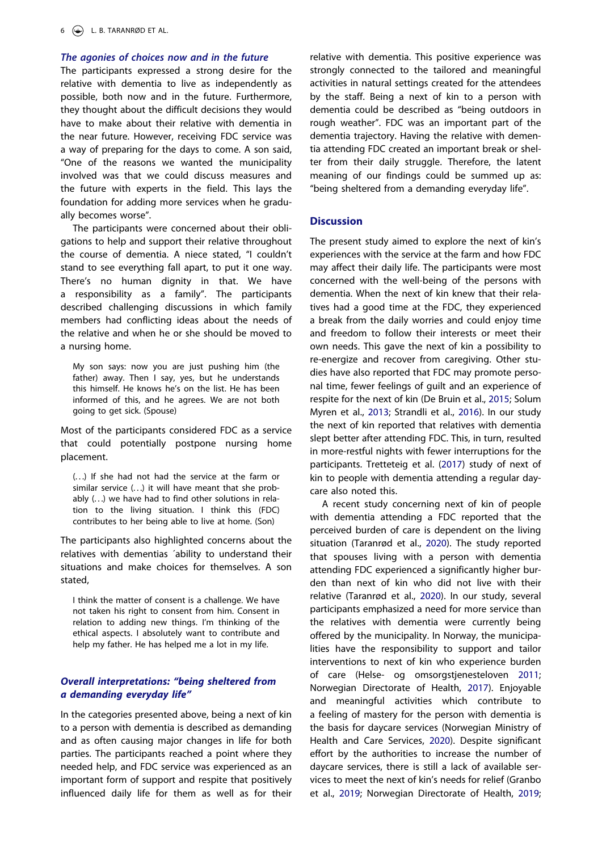# *The agonies of choices now and in the future*

The participants expressed a strong desire for the relative with dementia to live as independently as possible, both now and in the future. Furthermore, they thought about the difficult decisions they would have to make about their relative with dementia in the near future. However, receiving FDC service was a way of preparing for the days to come. A son said, "One of the reasons we wanted the municipality involved was that we could discuss measures and the future with experts in the field. This lays the foundation for adding more services when he gradually becomes worse".

The participants were concerned about their obligations to help and support their relative throughout the course of dementia. A niece stated, "I couldn't stand to see everything fall apart, to put it one way. There's no human dignity in that. We have a responsibility as a family". The participants described challenging discussions in which family members had conflicting ideas about the needs of the relative and when he or she should be moved to a nursing home.

My son says: now you are just pushing him (the father) away. Then I say, yes, but he understands this himself. He knows he's on the list. He has been informed of this, and he agrees. We are not both going to get sick. (Spouse)

Most of the participants considered FDC as a service that could potentially postpone nursing home placement.

(. . .) If she had not had the service at the farm or similar service (...) it will have meant that she probably (. . .) we have had to find other solutions in relation to the living situation. I think this (FDC) contributes to her being able to live at home. (Son)

The participants also highlighted concerns about the relatives with dementias ´ability to understand their situations and make choices for themselves. A son stated,

I think the matter of consent is a challenge. We have not taken his right to consent from him. Consent in relation to adding new things. I'm thinking of the ethical aspects. I absolutely want to contribute and help my father. He has helped me a lot in my life.

# *Overall interpretations: "being sheltered from a demanding everyday life"*

<span id="page-6-1"></span>In the categories presented above, being a next of kin to a person with dementia is described as demanding and as often causing major changes in life for both parties. The participants reached a point where they needed help, and FDC service was experienced as an important form of support and respite that positively influenced daily life for them as well as for their

relative with dementia. This positive experience was strongly connected to the tailored and meaningful activities in natural settings created for the attendees by the staff. Being a next of kin to a person with dementia could be described as "being outdoors in rough weather". FDC was an important part of the dementia trajectory. Having the relative with dementia attending FDC created an important break or shelter from their daily struggle. Therefore, the latent meaning of our findings could be summed up as: "being sheltered from a demanding everyday life".

# **Discussion**

The present study aimed to explore the next of kin's experiences with the service at the farm and how FDC may affect their daily life. The participants were most concerned with the well-being of the persons with dementia. When the next of kin knew that their relatives had a good time at the FDC, they experienced a break from the daily worries and could enjoy time and freedom to follow their interests or meet their own needs. This gave the next of kin a possibility to re-energize and recover from caregiving. Other studies have also reported that FDC may promote personal time, fewer feelings of guilt and an experience of respite for the next of kin (De Bruin et al., [2015;](#page-9-13) Solum Myren et al., [2013;](#page-10-9) Strandli et al., [2016\)](#page-10-7). In our study the next of kin reported that relatives with dementia slept better after attending FDC. This, in turn, resulted in more-restful nights with fewer interruptions for the participants. Tretteteig et al. ([2017](#page-10-13)) study of next of kin to people with dementia attending a regular daycare also noted this.

<span id="page-6-5"></span><span id="page-6-4"></span><span id="page-6-3"></span><span id="page-6-2"></span><span id="page-6-0"></span>A recent study concerning next of kin of people with dementia attending a FDC reported that the perceived burden of care is dependent on the living situation (Taranrød et al., [2020\)](#page-10-14). The study reported that spouses living with a person with dementia attending FDC experienced a significantly higher burden than next of kin who did not live with their relative (Taranrød et al., [2020](#page-10-14)). In our study, several participants emphasized a need for more service than the relatives with dementia were currently being offered by the municipality. In Norway, the municipalities have the responsibility to support and tailor interventions to next of kin who experience burden of care (Helse- og omsorgstjenesteloven [2011](#page-9-14); Norwegian Directorate of Health, [2017](#page-10-15)). Enjoyable and meaningful activities which contribute to a feeling of mastery for the person with dementia is the basis for daycare services (Norwegian Ministry of Health and Care Services, [2020](#page-10-8)). Despite significant effort by the authorities to increase the number of daycare services, there is still a lack of available services to meet the next of kin's needs for relief (Granbo et al., [2019](#page-9-15); Norwegian Directorate of Health, [2019](#page-10-16);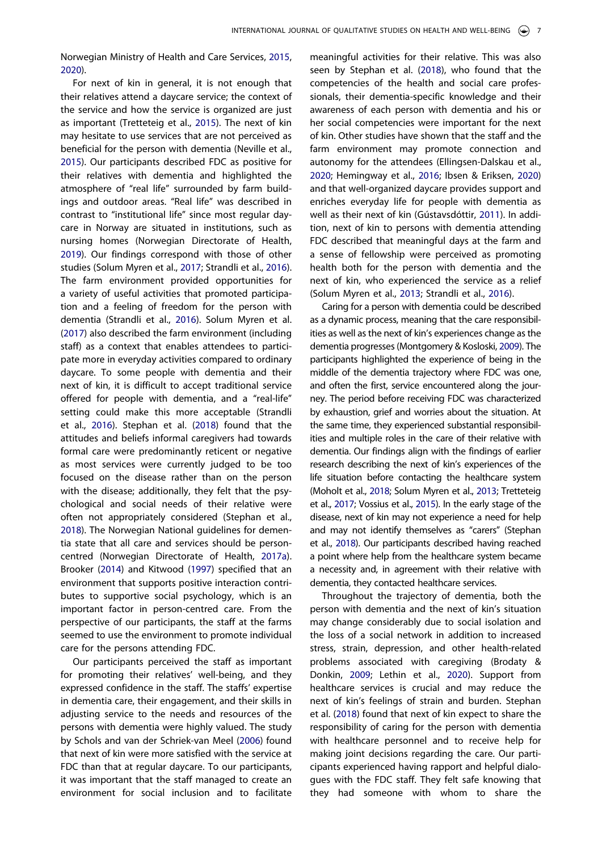Norwegian Ministry of Health and Care Services, [2015,](#page-10-0) [2020\)](#page-10-8).

<span id="page-7-11"></span><span id="page-7-9"></span><span id="page-7-6"></span>For next of kin in general, it is not enough that their relatives attend a daycare service; the context of the service and how the service is organized are just as important (Tretteteig et al., [2015\)](#page-10-17). The next of kin may hesitate to use services that are not perceived as beneficial for the person with dementia (Neville et al., [2015\)](#page-10-18). Our participants described FDC as positive for their relatives with dementia and highlighted the atmosphere of "real life" surrounded by farm buildings and outdoor areas. "Real life" was described in contrast to "institutional life" since most regular daycare in Norway are situated in institutions, such as nursing homes (Norwegian Directorate of Health, [2019\)](#page-10-16). Our findings correspond with those of other studies (Solum Myren et al., [2017;](#page-10-19) Strandli et al., [2016\)](#page-10-7). The farm environment provided opportunities for a variety of useful activities that promoted participation and a feeling of freedom for the person with dementia (Strandli et al., [2016](#page-10-7)). Solum Myren et al. ([2017](#page-10-19)) also described the farm environment (including staff) as a context that enables attendees to participate more in everyday activities compared to ordinary daycare. To some people with dementia and their next of kin, it is difficult to accept traditional service offered for people with dementia, and a "real-life" setting could make this more acceptable (Strandli et al., [2016](#page-10-7)). Stephan et al. ([2018\)](#page-10-20) found that the attitudes and beliefs informal caregivers had towards formal care were predominantly reticent or negative as most services were currently judged to be too focused on the disease rather than on the person with the disease; additionally, they felt that the psychological and social needs of their relative were often not appropriately considered (Stephan et al., [2018\)](#page-10-20). The Norwegian National guidelines for dementia state that all care and services should be personcentred (Norwegian Directorate of Health, [2017a\)](#page-10-21). Brooker [\(2014\)](#page-9-16) and Kitwood ([1997](#page-9-17)) specified that an environment that supports positive interaction contributes to supportive social psychology, which is an important factor in person-centred care. From the perspective of our participants, the staff at the farms seemed to use the environment to promote individual care for the persons attending FDC.

<span id="page-7-8"></span><span id="page-7-7"></span><span id="page-7-1"></span>Our participants perceived the staff as important for promoting their relatives' well-being, and they expressed confidence in the staff. The staffs' expertise in dementia care, their engagement, and their skills in adjusting service to the needs and resources of the persons with dementia were highly valued. The study by Schols and van der Schriek-van Meel ([2006](#page-10-22)) found that next of kin were more satisfied with the service at FDC than that at regular daycare. To our participants, it was important that the staff managed to create an environment for social inclusion and to facilitate

<span id="page-7-3"></span>meaningful activities for their relative. This was also seen by Stephan et al. [\(2018\)](#page-10-20), who found that the competencies of the health and social care professionals, their dementia-specific knowledge and their awareness of each person with dementia and his or her social competencies were important for the next of kin. Other studies have shown that the staff and the farm environment may promote connection and autonomy for the attendees (Ellingsen-Dalskau et al., [2020](#page-9-7); Hemingway et al., [2016](#page-9-18); Ibsen & Eriksen, [2020](#page-9-19)) and that well-organized daycare provides support and enriches everyday life for people with dementia as well as their next of kin (Gústavsdóttir, [2011\)](#page-9-20). In addition, next of kin to persons with dementia attending FDC described that meaningful days at the farm and a sense of fellowship were perceived as promoting health both for the person with dementia and the next of kin, who experienced the service as a relief (Solum Myren et al., [2013](#page-10-9); Strandli et al., [2016\)](#page-10-7).

<span id="page-7-5"></span><span id="page-7-2"></span>Caring for a person with dementia could be described as a dynamic process, meaning that the care responsibilities as well as the next of kin's experiences change as the dementia progresses (Montgomery & Kosloski, [2009\)](#page-10-23). The participants highlighted the experience of being in the middle of the dementia trajectory where FDC was one, and often the first, service encountered along the journey. The period before receiving FDC was characterized by exhaustion, grief and worries about the situation. At the same time, they experienced substantial responsibilities and multiple roles in the care of their relative with dementia. Our findings align with the findings of earlier research describing the next of kin's experiences of the life situation before contacting the healthcare system (Moholt et al., [2018](#page-10-24); Solum Myren et al., [2013](#page-10-9); Tretteteig et al., [2017](#page-10-13); Vossius et al., [2015\)](#page-10-3). In the early stage of the disease, next of kin may not experience a need for help and may not identify themselves as "carers" (Stephan et al., [2018\)](#page-10-20). Our participants described having reached a point where help from the healthcare system became a necessity and, in agreement with their relative with dementia, they contacted healthcare services.

<span id="page-7-10"></span><span id="page-7-4"></span><span id="page-7-0"></span>Throughout the trajectory of dementia, both the person with dementia and the next of kin's situation may change considerably due to social isolation and the loss of a social network in addition to increased stress, strain, depression, and other health-related problems associated with caregiving (Brodaty & Donkin, [2009](#page-9-21); Lethin et al., [2020\)](#page-9-22). Support from healthcare services is crucial and may reduce the next of kin's feelings of strain and burden. Stephan et al. ([2018\)](#page-10-20) found that next of kin expect to share the responsibility of caring for the person with dementia with healthcare personnel and to receive help for making joint decisions regarding the care. Our participants experienced having rapport and helpful dialogues with the FDC staff. They felt safe knowing that they had someone with whom to share the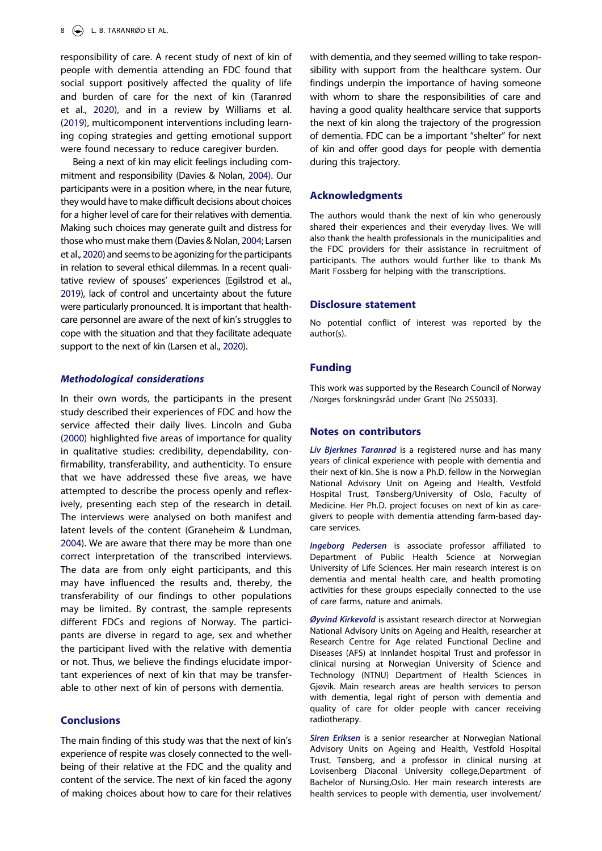responsibility of care. A recent study of next of kin of people with dementia attending an FDC found that social support positively affected the quality of life and burden of care for the next of kin (Taranrød et al., [2020\)](#page-10-14), and in a review by Williams et al. ([2019](#page-10-25)), multicomponent interventions including learning coping strategies and getting emotional support were found necessary to reduce caregiver burden.

<span id="page-8-4"></span><span id="page-8-0"></span>Being a next of kin may elicit feelings including commitment and responsibility (Davies & Nolan, [2004](#page-9-23)). Our participants were in a position where, in the near future, they would have to make difficult decisions about choices for a higher level of care for their relatives with dementia. Making such choices may generate guilt and distress for those who must make them (Davies & Nolan, [2004;](#page-9-23) Larsen et al., [2020\)](#page-9-24) and seems to be agonizing for the participants in relation to several ethical dilemmas. In a recent qualitative review of spouses' experiences (Egilstrod et al., [2019\)](#page-9-25), lack of control and uncertainty about the future were particularly pronounced. It is important that healthcare personnel are aware of the next of kin's struggles to cope with the situation and that they facilitate adequate support to the next of kin (Larsen et al., [2020](#page-9-24)).

#### <span id="page-8-2"></span><span id="page-8-1"></span>*Methodological considerations*

<span id="page-8-3"></span>In their own words, the participants in the present study described their experiences of FDC and how the service affected their daily lives. Lincoln and Guba ([2000](#page-9-26)) highlighted five areas of importance for quality in qualitative studies: credibility, dependability, confirmability, transferability, and authenticity. To ensure that we have addressed these five areas, we have attempted to describe the process openly and reflexively, presenting each step of the research in detail. The interviews were analysed on both manifest and latent levels of the content (Graneheim & Lundman, [2004\)](#page-9-10). We are aware that there may be more than one correct interpretation of the transcribed interviews. The data are from only eight participants, and this may have influenced the results and, thereby, the transferability of our findings to other populations may be limited. By contrast, the sample represents different FDCs and regions of Norway. The participants are diverse in regard to age, sex and whether the participant lived with the relative with dementia or not. Thus, we believe the findings elucidate important experiences of next of kin that may be transferable to other next of kin of persons with dementia.

# **Conclusions**

The main finding of this study was that the next of kin's experience of respite was closely connected to the wellbeing of their relative at the FDC and the quality and content of the service. The next of kin faced the agony of making choices about how to care for their relatives

with dementia, and they seemed willing to take responsibility with support from the healthcare system. Our findings underpin the importance of having someone with whom to share the responsibilities of care and having a good quality healthcare service that supports the next of kin along the trajectory of the progression of dementia. FDC can be a important "shelter" for next of kin and offer good days for people with dementia during this trajectory.

# **Acknowledgments**

The authors would thank the next of kin who generously shared their experiences and their everyday lives. We will also thank the health professionals in the municipalities and the FDC providers for their assistance in recruitment of participants. The authors would further like to thank Ms Marit Fossberg for helping with the transcriptions.

# **Disclosure statement**

No potential conflict of interest was reported by the author(s).

#### **Funding**

This work was supported by the Research Council of Norway /Norges forskningsråd under Grant [No 255033].

#### **Notes on contributors**

*Liv Bjerknes Taranrød* is a registered nurse and has many years of clinical experience with people with dementia and their next of kin. She is now a Ph.D. fellow in the Norwegian National Advisory Unit on Ageing and Health, Vestfold Hospital Trust, Tønsberg/University of Oslo, Faculty of Medicine. Her Ph.D. project focuses on next of kin as caregivers to people with dementia attending farm-based daycare services.

*Ingeborg Pedersen* is associate professor affiliated to Department of Public Health Science at Norwegian University of Life Sciences. Her main research interest is on dementia and mental health care, and health promoting activities for these groups especially connected to the use of care farms, nature and animals.

*Øyvind Kirkevold* is assistant research director at Norwegian National Advisory Units on Ageing and Health, researcher at Research Centre for Age related Functional Decline and Diseases (AFS) at Innlandet hospital Trust and professor in clinical nursing at Norwegian University of Science and Technology (NTNU) Department of Health Sciences in Gjøvik. Main research areas are health services to person with dementia, legal right of person with dementia and quality of care for older people with cancer receiving radiotherapy.

*Siren Eriksen* is a senior researcher at Norwegian National Advisory Units on Ageing and Health, Vestfold Hospital Trust, Tønsberg, and a professor in clinical nursing at Lovisenberg Diaconal University college,Department of Bachelor of Nursing,Oslo. Her main research interests are health services to people with dementia, user involvement/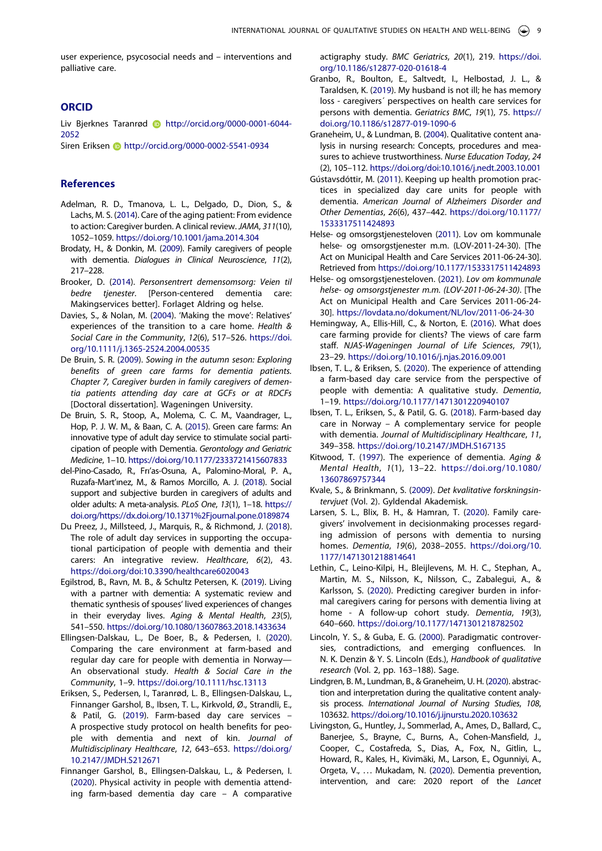user experience, psycosocial needs and – interventions and palliative care.

# **ORCID**

Liv Bjerknes Taranrød **b** http://orcid.org/0000-0001-6044-2052

Siren Eriksen **b** http://orcid.org/0000-0002-5541-0934

## **References**

- <span id="page-9-1"></span>Adelman, R. D., Tmanova, L. L., Delgado, D., Dion, S., & Lachs, M. S. [\(2014\)](#page-1-4). Care of the aging patient: From evidence to action: Caregiver burden. A clinical review. *JAMA*, *311*(10), 1052–1059. <https://doi.org/10.1001/jama.2014.304>
- <span id="page-9-21"></span>Brodaty, H., & Donkin, M. [\(2009](#page-7-0)). Family caregivers of people with dementia. *Dialogues in Clinical Neuroscience*, *11*(2), 217–228.
- <span id="page-9-16"></span>Brooker, D. ([2014](#page-7-1)). *Personsentrert demensomsorg: Veien til bedre tjenester*. [Person-centered dementia care: Makingservices better]. Forlaget Aldring og helse.
- <span id="page-9-23"></span>Davies, S., & Nolan, M. [\(2004\)](#page-8-0). 'Making the move': Relatives' experiences of the transition to a care home. *Health & Social Care in the Community*, *12*(6), 517–526. [https://doi.](https://doi.org/10.1111/j.1365-2524.2004.00535)  [org/10.1111/j.1365-2524.2004.00535](https://doi.org/10.1111/j.1365-2524.2004.00535)
- <span id="page-9-6"></span>De Bruin, S. R. ([2009](#page-2-0)). *Sowing in the autumn seson: Exploring benefits of green care farms for dementia patients. Chapter 7, Caregiver burden in family caregivers of dementia patients attending day care at GCFs or at RDCFs*  [Doctoral dissertation]. Wageningen University.
- <span id="page-9-13"></span>De Bruin, S. R., Stoop, A., Molema, C. C. M., Vaandrager, L., Hop, P. J. W. M., & Baan, C. A. ([2015](#page-6-0)). Green care farms: An innovative type of adult day service to stimulate social participation of people with Dementia. *Gerontology and Geriatric Medicine*, 1–10. <https://doi.org/10.1177/2333721415607833>
- <span id="page-9-2"></span>del-Pino-Casado, R., Frı'as-Osuna, A., Palomino-Moral, P. A., Ruzafa-Mart'ınez, M., & Ramos Morcillo, A. J. [\(2018\)](#page-1-5). Social support and subjective burden in caregivers of adults and older adults: A meta-analysis. *PLoS One*, *13*(1), 1–18. [https://](https://doi.org/https://dx.doi.org/10.1371%2Fjournal.pone.0189874) [doi.org/https://dx.doi.org/10.1371%2Fjournal.pone.0189874](https://doi.org/https://dx.doi.org/10.1371%2Fjournal.pone.0189874)
- <span id="page-9-4"></span>Du Preez, J., Millsteed, J., Marquis, R., & Richmond, J. ([2018](#page-1-6)). The role of adult day services in supporting the occupational participation of people with dementia and their carers: An integrative review. *Healthcare*, *6*(2), 43. <https://doi.org/doi:10.3390/healthcare6020043>
- <span id="page-9-25"></span>Egilstrod, B., Ravn, M. B., & Schultz Petersen, K. [\(2019](#page-8-1)). Living with a partner with dementia: A systematic review and thematic synthesis of spouses' lived experiences of changes in their everyday lives. *Aging & Mental Health*, *23*(5), 541–550. <https://doi.org/10.1080/13607863.2018.1433634>
- <span id="page-9-7"></span>Ellingsen-Dalskau, L., De Boer, B., & Pedersen, I. ([2020](#page-2-1)). Comparing the care environment at farm-based and regular day care for people with dementia in Norway— An observational study. *Health & Social Care in the Community*, 1–9. <https://doi.org/10.1111/hsc.13113>
- <span id="page-9-12"></span>Eriksen, S., Pedersen, I., Taranrød, L. B., Ellingsen-Dalskau, L., Finnanger Garshol, B., Ibsen, T. L., Kirkvold, Ø., Strandli, E., & Patil, G. [\(2019\)](#page-2-2). Farm-based day care services – A prospective study protocol on health benefits for people with dementia and next of kin. *Journal of Multidisciplinary Healthcare*, *12*, 643–653. [https://doi.org/](https://doi.org/10.2147/JMDH.S212671)  [10.2147/JMDH.S212671](https://doi.org/10.2147/JMDH.S212671)
- <span id="page-9-8"></span>Finnanger Garshol, B., Ellingsen-Dalskau, L., & Pedersen, I. ([2020](#page-2-1)). Physical activity in people with dementia attending farm-based dementia day care – A comparative

actigraphy study. *BMC Geriatrics*, *20*(1), 219. [https://doi.](https://doi.org/10.1186/s12877-020-01618-4) [org/10.1186/s12877-020-01618-4](https://doi.org/10.1186/s12877-020-01618-4)

- <span id="page-9-15"></span>Granbo, R., Boulton, E., Saltvedt, I., Helbostad, J. L., & Taraldsen, K. ([2019](#page-6-1)). My husband is not ill; he has memory loss - caregivers´ perspectives on health care services for persons with dementia. *Geriatrics BMC*, *19*(1), 75. [https://](https://doi.org/10.1186/s12877-019-1090-6) [doi.org/10.1186/s12877-019-1090-6](https://doi.org/10.1186/s12877-019-1090-6)
- <span id="page-9-10"></span>Graneheim, U., & Lundman, B. [\(2004](#page-2-3)). Qualitative content analysis in nursing research: Concepts, procedures and measures to achieve trustworthiness. *Nurse Education Today*, *24*  (2), 105–112. <https://doi.org/doi:10.1016/j.nedt.2003.10.001>
- <span id="page-9-20"></span>Gústavsdóttir, M. ([2011](#page-7-2)). Keeping up health promotion practices in specialized day care units for people with dementia. *American Journal of Alzheimers Disorder and Other Dementias*, *26*(6), 437–442. [https://doi.org/10.1177/](https://doi.org/10.1177/1533317511424893) [1533317511424893](https://doi.org/10.1177/1533317511424893)
- <span id="page-9-14"></span>Helse- og omsorgstjenesteloven [\(2011](#page-6-2)). Lov om kommunale helse- og omsorgstjenester m.m. (LOV-2011-24-30). [The Act on Municipal Health and Care Services 2011-06-24-30]. Retrieved from <https://doi.org/10.1177/1533317511424893>
- <span id="page-9-3"></span>Helse- og omsorgstjenesteloven. ([2021](#page-1-7)). *Lov om kommunale helse- og omsorgstjenester m.m. (LOV-2011-06-24-30)*. [The Act on Municipal Health and Care Services 2011-06-24- 30]. <https://lovdata.no/dokument/NL/lov/2011-06-24-30>
- <span id="page-9-18"></span>Hemingway, A., Ellis-Hill, C., & Norton, E. [\(2016\)](#page-7-3). What does care farming provide for clients? The views of care farm staff. *NJAS-Wageningen Journal of Life Sciences*, *79*(1), 23–29. <https://doi.org/10.1016/j.njas.2016.09.001>
- <span id="page-9-19"></span>Ibsen, T. L., & Eriksen, S. ([2020](#page-7-3)). The experience of attending a farm-based day care service from the perspective of people with dementia: A qualitative study. *Dementia*, 1–19. <https://doi.org/10.1177/1471301220940107>
- <span id="page-9-5"></span>Ibsen, T. L., Eriksen, S., & Patil, G. G. [\(2018\)](#page-2-4). Farm-based day care in Norway – A complementary service for people with dementia. *Journal of Multidisciplinary Healthcare*, *11*, 349–358. <https://doi.org/10.2147/JMDH.S167135>
- <span id="page-9-17"></span>Kitwood, T. ([1997](#page-7-1)). The experience of dementia. *Aging & Mental Health*, *1*(1), 13–22. [https://doi.org/10.1080/](https://doi.org/10.1080/13607869757344)  [13607869757344](https://doi.org/10.1080/13607869757344)
- <span id="page-9-9"></span>Kvale, S., & Brinkmann, S. [\(2009\)](#page-2-5). *Det kvalitative forskningsintervjuet* (Vol. 2). Gyldendal Akademisk.
- <span id="page-9-24"></span>Larsen, S. L., Blix, B. H., & Hamran, T. [\(2020\)](#page-8-2). Family caregivers' involvement in decisionmaking processes regarding admission of persons with dementia to nursing homes. *Dementia*, *19*(6), 2038–2055. [https://doi.org/10.](https://doi.org/10.1177/1471301218814641) [1177/1471301218814641](https://doi.org/10.1177/1471301218814641)
- <span id="page-9-22"></span>Lethin, C., Leino-Kilpi, H., Bleijlevens, M. H. C., Stephan, A., Martin, M. S., Nilsson, K., Nilsson, C., Zabalegui, A., & Karlsson, S. ([2020](#page-7-0)). Predicting caregiver burden in informal caregivers caring for persons with dementia living at home - A follow-up cohort study. *Dementia*, *19*(3), 640–660. <https://doi.org/10.1177/1471301218782502>
- <span id="page-9-26"></span>Lincoln, Y. S., & Guba, E. G. [\(2000\)](#page-8-3). Paradigmatic controversies, contradictions, and emerging confluences. In N. K. Denzin & Y. S. Lincoln (Eds.), *Handbook of qualitative research* (Vol. 2, pp. 163–188). Sage.
- <span id="page-9-11"></span>Lindgren, B. M., Lundman, B., & Graneheim, U. H. [\(2020\)](#page-2-3). abstraction and interpretation during the qualitative content analysis process. *International Journal of Nursing Studies*, *108*, 103632. <https://doi.org/10.1016/j.ijnurstu.2020.103632>
- <span id="page-9-0"></span>Livingston, G., Huntley, J., Sommerlad, A., Ames, D., Ballard, C., Banerjee, S., Brayne, C., Burns, A., Cohen-Mansfield, J., Cooper, C., Costafreda, S., Dias, A., Fox, N., Gitlin, L., Howard, R., Kales, H., Kivimäki, M., Larson, E., Ogunniyi, A., Orgeta, V., ... Mukadam, N. [\(2020](#page-1-8)). Dementia prevention, intervention, and care: 2020 report of the *Lancet*